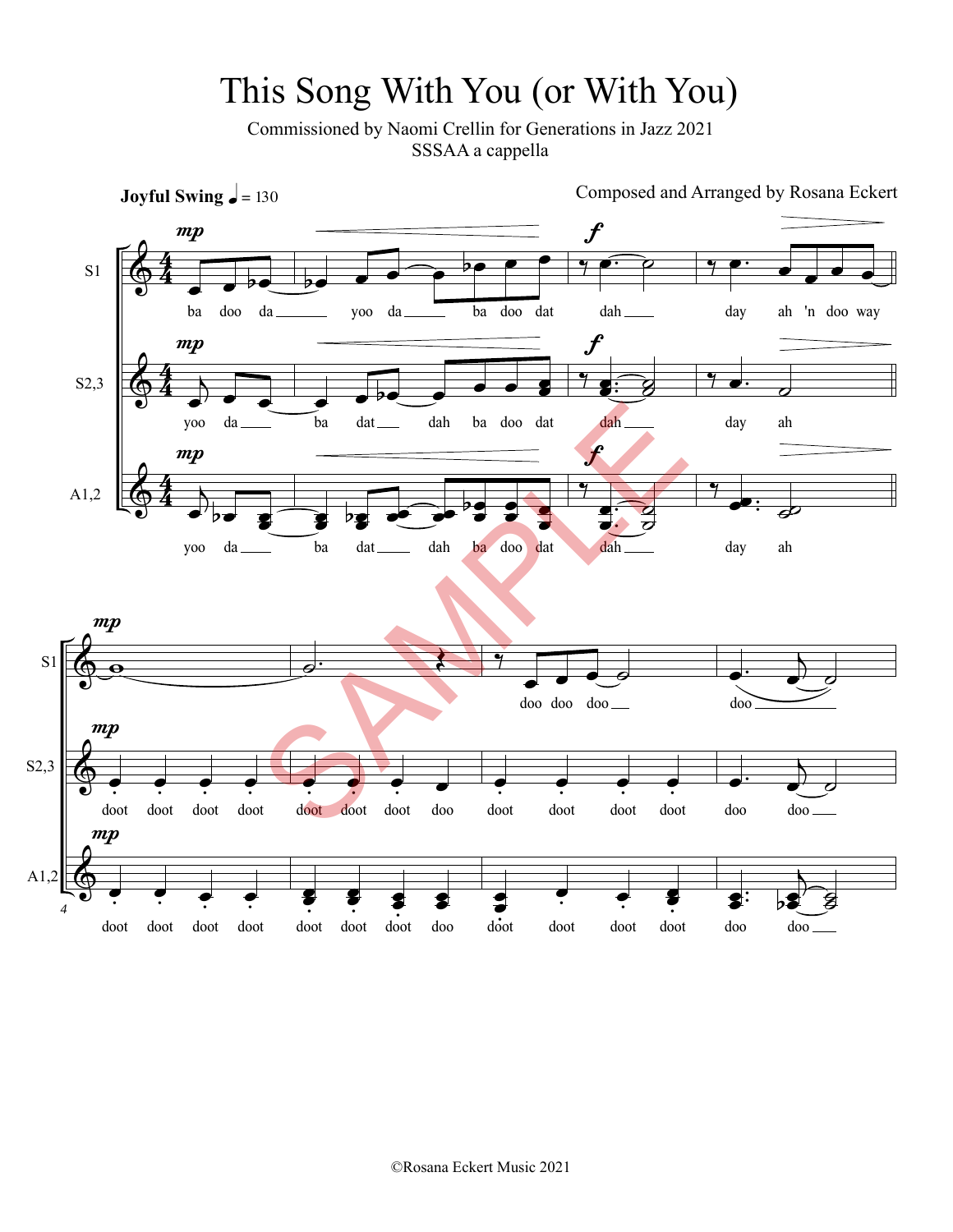## This Song With You (or With You)

Commissioned by Naomi Crellin for Generations in Jazz 2021 SSSAA a cappella

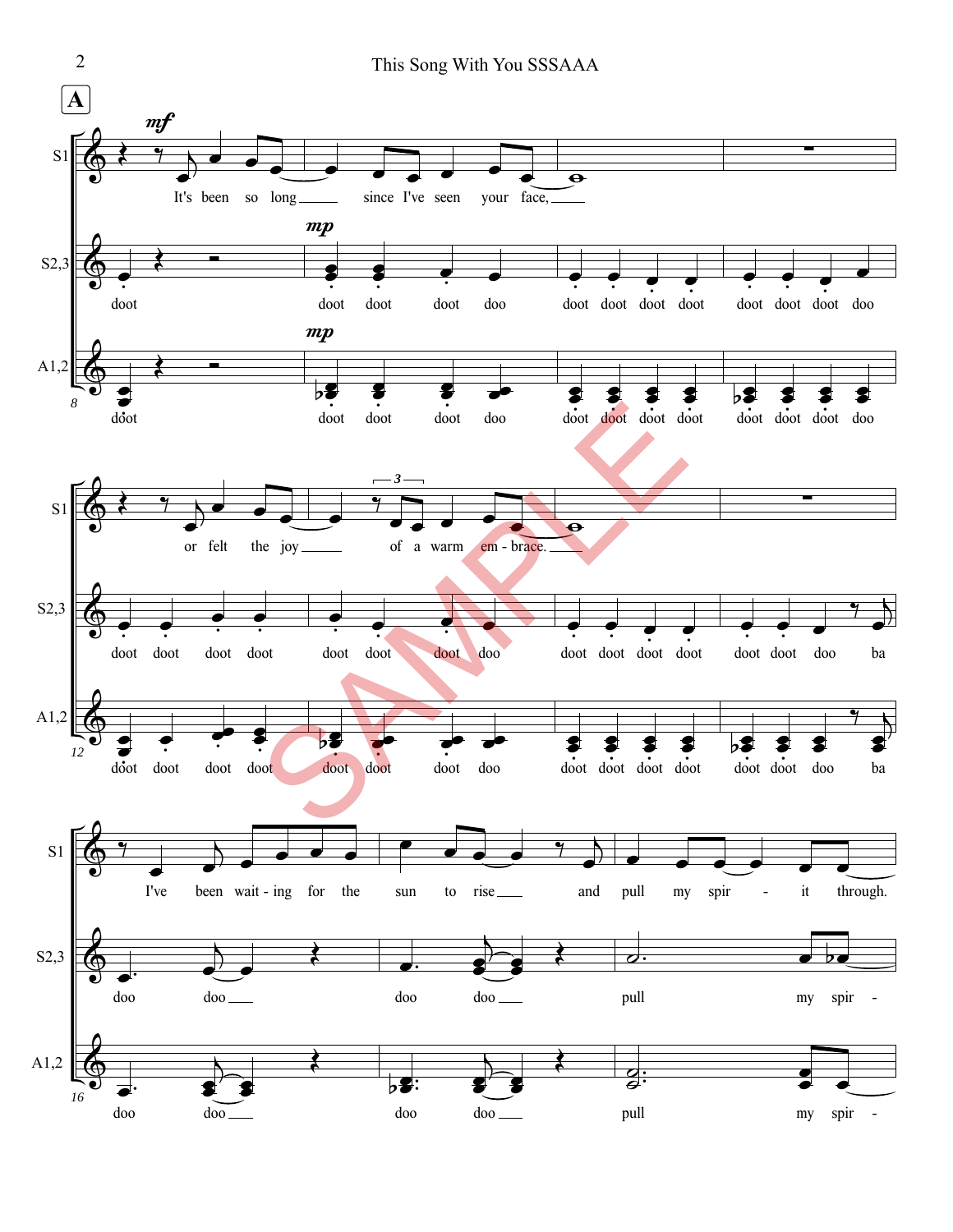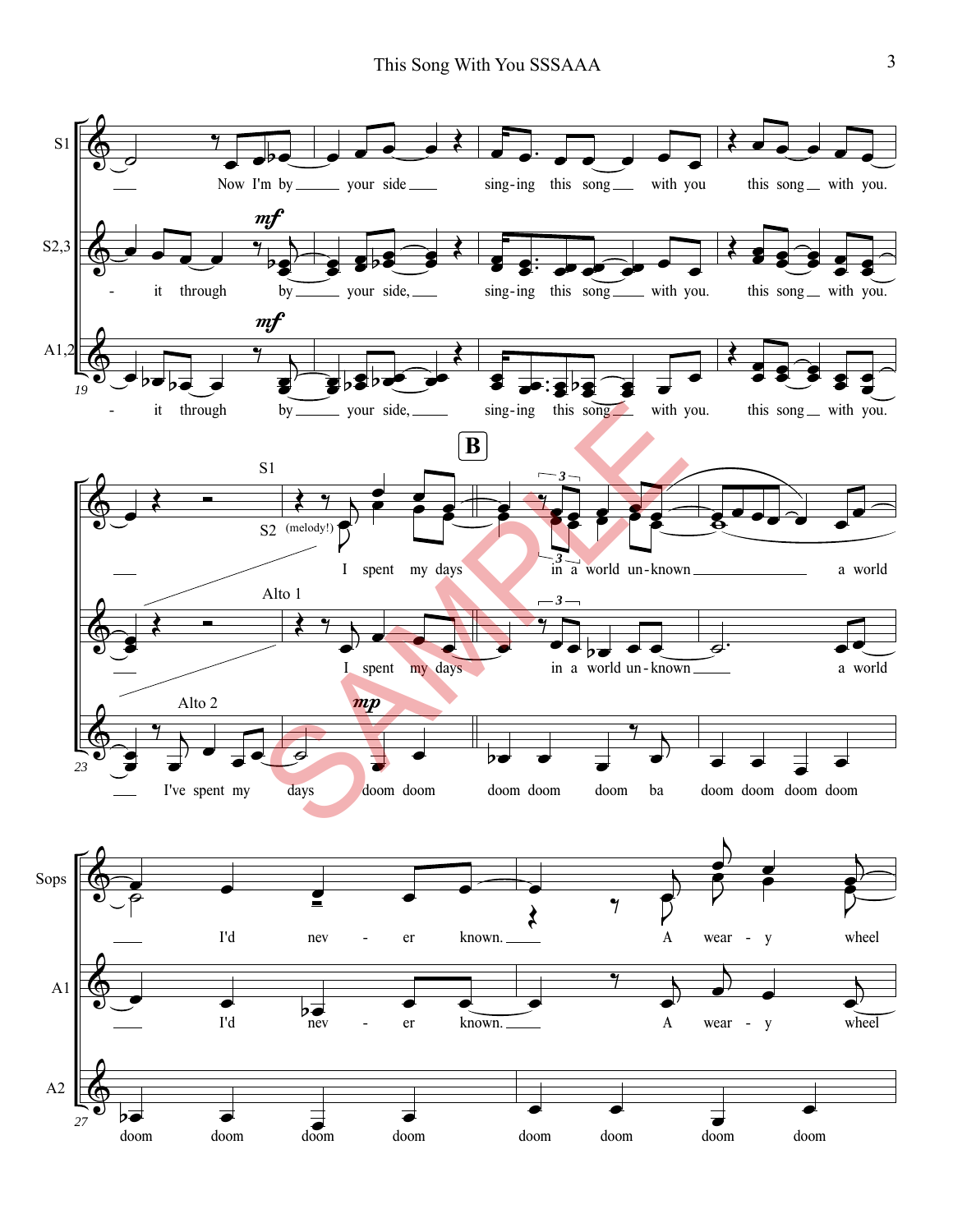